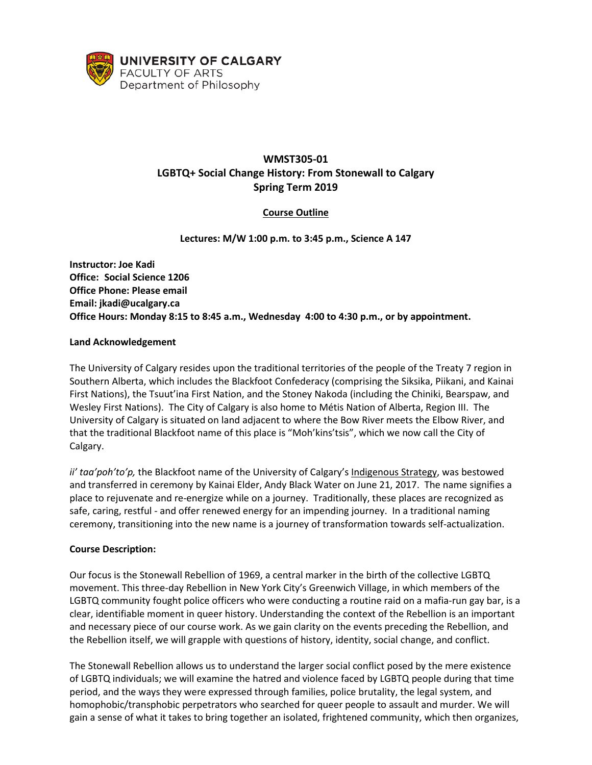

# **WMST305-01 LGBTQ+ Social Change History: From Stonewall to Calgary Spring Term 2019**

# **Course Outline**

**Lectures: M/W 1:00 p.m. to 3:45 p.m., Science A 147**

**Instructor: Joe Kadi Office: Social Science 1206 Office Phone: Please email Email: jkadi@ucalgary.ca Office Hours: Monday 8:15 to 8:45 a.m., Wednesday 4:00 to 4:30 p.m., or by appointment.**

#### **Land Acknowledgement**

The University of Calgary resides upon the traditional territories of the people of the Treaty 7 region in Southern Alberta, which includes the Blackfoot Confederacy (comprising the Siksika, Piikani, and Kainai First Nations), the Tsuut'ina First Nation, and the Stoney Nakoda (including the Chiniki, Bearspaw, and Wesley First Nations). The City of Calgary is also home to Métis Nation of Alberta, Region III. The University of Calgary is situated on land adjacent to where the Bow River meets the Elbow River, and that the traditional Blackfoot name of this place is "Moh'kins'tsis", which we now call the City of Calgary.

*ii' taa'poh'to'p,* the Blackfoot name of the University of Calgary's [Indigenous Strategy,](https://www.ucalgary.ca/indigenous-strategy/together-good-way) was bestowed and transferred in ceremony by Kainai Elder, Andy Black Water on June 21, 2017. The name signifies a place to rejuvenate and re-energize while on a journey. Traditionally, these places are recognized as safe, caring, restful - and offer renewed energy for an impending journey. In a traditional naming ceremony, transitioning into the new name is a journey of transformation towards self-actualization.

#### **Course Description:**

Our focus is the Stonewall Rebellion of 1969, a central marker in the birth of the collective LGBTQ movement. This three-day Rebellion in New York City's Greenwich Village, in which members of the LGBTQ community fought police officers who were conducting a routine raid on a mafia-run gay bar, is a clear, identifiable moment in queer history. Understanding the context of the Rebellion is an important and necessary piece of our course work. As we gain clarity on the events preceding the Rebellion, and the Rebellion itself, we will grapple with questions of history, identity, social change, and conflict.

The Stonewall Rebellion allows us to understand the larger social conflict posed by the mere existence of LGBTQ individuals; we will examine the hatred and violence faced by LGBTQ people during that time period, and the ways they were expressed through families, police brutality, the legal system, and homophobic/transphobic perpetrators who searched for queer people to assault and murder. We will gain a sense of what it takes to bring together an isolated, frightened community, which then organizes,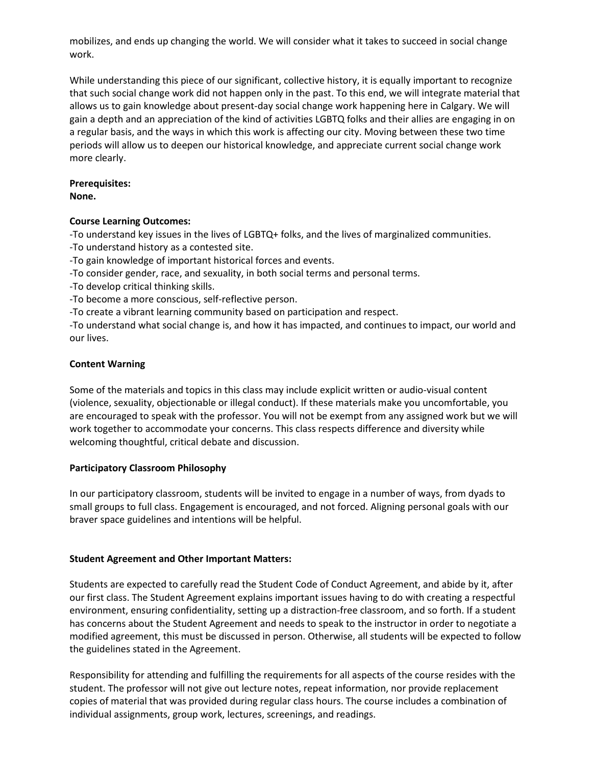mobilizes, and ends up changing the world. We will consider what it takes to succeed in social change work.

While understanding this piece of our significant, collective history, it is equally important to recognize that such social change work did not happen only in the past. To this end, we will integrate material that allows us to gain knowledge about present-day social change work happening here in Calgary. We will gain a depth and an appreciation of the kind of activities LGBTQ folks and their allies are engaging in on a regular basis, and the ways in which this work is affecting our city. Moving between these two time periods will allow us to deepen our historical knowledge, and appreciate current social change work more clearly.

# **Prerequisites:**

**None.**

### **Course Learning Outcomes:**

-To understand key issues in the lives of LGBTQ+ folks, and the lives of marginalized communities.

-To understand history as a contested site.

-To gain knowledge of important historical forces and events.

-To consider gender, race, and sexuality, in both social terms and personal terms.

-To develop critical thinking skills.

-To become a more conscious, self-reflective person.

-To create a vibrant learning community based on participation and respect.

-To understand what social change is, and how it has impacted, and continues to impact, our world and our lives.

### **Content Warning**

Some of the materials and topics in this class may include explicit written or audio-visual content (violence, sexuality, objectionable or illegal conduct). If these materials make you uncomfortable, you are encouraged to speak with the professor. You will not be exempt from any assigned work but we will work together to accommodate your concerns. This class respects difference and diversity while welcoming thoughtful, critical debate and discussion.

### **Participatory Classroom Philosophy**

In our participatory classroom, students will be invited to engage in a number of ways, from dyads to small groups to full class. Engagement is encouraged, and not forced. Aligning personal goals with our braver space guidelines and intentions will be helpful.

### **Student Agreement and Other Important Matters:**

Students are expected to carefully read the Student Code of Conduct Agreement, and abide by it, after our first class. The Student Agreement explains important issues having to do with creating a respectful environment, ensuring confidentiality, setting up a distraction-free classroom, and so forth. If a student has concerns about the Student Agreement and needs to speak to the instructor in order to negotiate a modified agreement, this must be discussed in person. Otherwise, all students will be expected to follow the guidelines stated in the Agreement.

Responsibility for attending and fulfilling the requirements for all aspects of the course resides with the student. The professor will not give out lecture notes, repeat information, nor provide replacement copies of material that was provided during regular class hours. The course includes a combination of individual assignments, group work, lectures, screenings, and readings.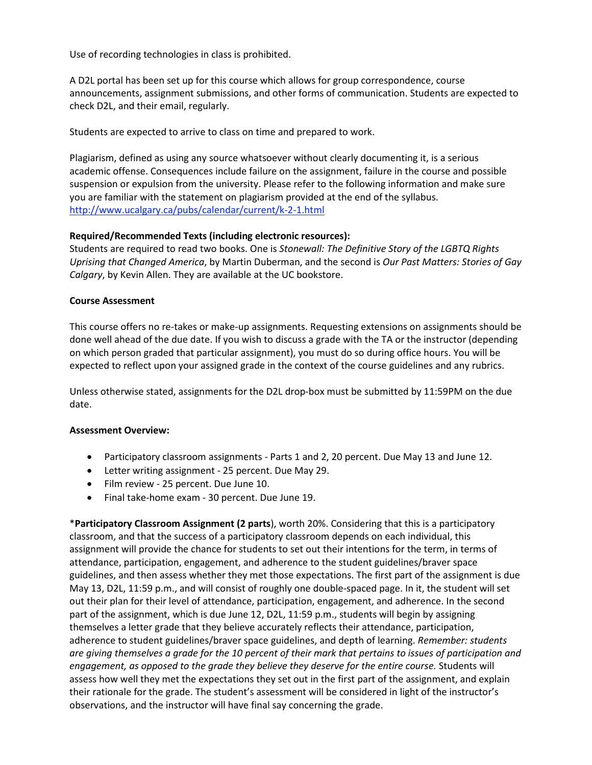Use of recording technologies in class is prohibited.

A D2L portal has been set up for this course which allows for group correspondence, course announcements, assignment submissions, and other forms of communication. Students are expected to check D2L, and their email, regularly.

Students are expected to arrive to class on time and prepared to work.

Plagiarism, defined as using any source whatsoever without clearly documenting it, is a serious academic offense. Consequences include failure on the assignment, failure in the course and possible suspension or expulsion from the university. Please refer to the following information and make sure you are familiar with the statement on plagiarism provided at the end of the syllabus. <http://www.ucalgary.ca/pubs/calendar/current/k-2-1.html>

### **Required/Recommended Texts (including electronic resources):**

Students are required to read two books. One is *Stonewall: The Definitive Story of the LGBTQ Rights Uprising that Changed America*, by Martin Duberman, and the second is *Our Past Matters: Stories of Gay Calgary*, by Kevin Allen. They are available at the UC bookstore.

### **Course Assessment**

This course offers no re-takes or make-up assignments. Requesting extensions on assignments should be done well ahead of the due date. If you wish to discuss a grade with the TA or the instructor (depending on which person graded that particular assignment), you must do so during office hours. You will be expected to reflect upon your assigned grade in the context of the course guidelines and any rubrics.

Unless otherwise stated, assignments for the D2L drop-box must be submitted by 11:59PM on the due date.

### **Assessment Overview:**

- Participatory classroom assignments Parts 1 and 2, 20 percent. Due May 13 and June 12.
- Letter writing assignment 25 percent. Due May 29.
- Film review 25 percent. Due June 10.
- Final take-home exam 30 percent. Due June 19.

\***Participatory Classroom Assignment (2 parts**), worth 20%. Considering that this is a participatory classroom, and that the success of a participatory classroom depends on each individual, this assignment will provide the chance for students to set out their intentions for the term, in terms of attendance, participation, engagement, and adherence to the student guidelines/braver space guidelines, and then assess whether they met those expectations. The first part of the assignment is due May 13, D2L, 11:59 p.m., and will consist of roughly one double-spaced page. In it, the student will set out their plan for their level of attendance, participation, engagement, and adherence. In the second part of the assignment, which is due June 12, D2L, 11:59 p.m., students will begin by assigning themselves a letter grade that they believe accurately reflects their attendance, participation, adherence to student guidelines/braver space guidelines, and depth of learning. *Remember: students are giving themselves a grade for the 10 percent of their mark that pertains to issues of participation and engagement, as opposed to the grade they believe they deserve for the entire course.* Students will assess how well they met the expectations they set out in the first part of the assignment, and explain their rationale for the grade. The student's assessment will be considered in light of the instructor's observations, and the instructor will have final say concerning the grade.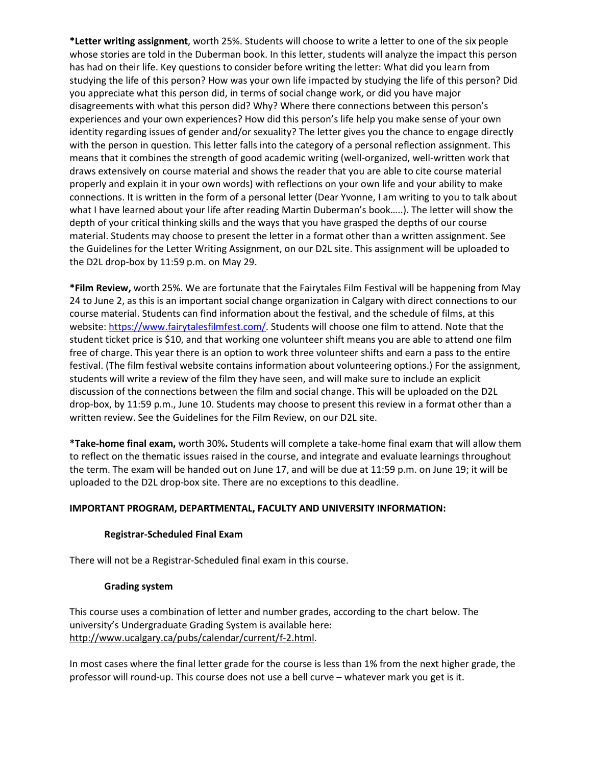**\*Letter writing assignment**, worth 25%. Students will choose to write a letter to one of the six people whose stories are told in the Duberman book. In this letter, students will analyze the impact this person has had on their life. Key questions to consider before writing the letter: What did you learn from studying the life of this person? How was your own life impacted by studying the life of this person? Did you appreciate what this person did, in terms of social change work, or did you have major disagreements with what this person did? Why? Where there connections between this person's experiences and your own experiences? How did this person's life help you make sense of your own identity regarding issues of gender and/or sexuality? The letter gives you the chance to engage directly with the person in question. This letter falls into the category of a personal reflection assignment. This means that it combines the strength of good academic writing (well-organized, well-written work that draws extensively on course material and shows the reader that you are able to cite course material properly and explain it in your own words) with reflections on your own life and your ability to make connections. It is written in the form of a personal letter (Dear Yvonne, I am writing to you to talk about what I have learned about your life after reading Martin Duberman's book…..). The letter will show the depth of your critical thinking skills and the ways that you have grasped the depths of our course material. Students may choose to present the letter in a format other than a written assignment. See the Guidelines for the Letter Writing Assignment, on our D2L site. This assignment will be uploaded to the D2L drop-box by 11:59 p.m. on May 29.

**\*Film Review,** worth 25%. We are fortunate that the Fairytales Film Festival will be happening from May 24 to June 2, as this is an important social change organization in Calgary with direct connections to our course material. Students can find information about the festival, and the schedule of films, at this website[: https://www.fairytalesfilmfest.com/.](https://www.fairytalesfilmfest.com/) Students will choose one film to attend. Note that the student ticket price is \$10, and that working one volunteer shift means you are able to attend one film free of charge. This year there is an option to work three volunteer shifts and earn a pass to the entire festival. (The film festival website contains information about volunteering options.) For the assignment, students will write a review of the film they have seen, and will make sure to include an explicit discussion of the connections between the film and social change. This will be uploaded on the D2L drop-box, by 11:59 p.m., June 10. Students may choose to present this review in a format other than a written review. See the Guidelines for the Film Review, on our D2L site.

**\*Take-home final exam,** worth 30%**.** Students will complete a take-home final exam that will allow them to reflect on the thematic issues raised in the course, and integrate and evaluate learnings throughout the term. The exam will be handed out on June 17, and will be due at 11:59 p.m. on June 19; it will be uploaded to the D2L drop-box site. There are no exceptions to this deadline.

# **IMPORTANT PROGRAM, DEPARTMENTAL, FACULTY AND UNIVERSITY INFORMATION:**

### **Registrar-Scheduled Final Exam**

There will not be a Registrar-Scheduled final exam in this course.

#### **Grading system**

This course uses a combination of letter and number grades, according to the chart below. The university's Undergraduate Grading System is available here: [http://www.ucalgary.ca/pubs/calendar/current/f-2.html.](http://www.ucalgary.ca/pubs/calendar/current/f-2.html)

In most cases where the final letter grade for the course is less than 1% from the next higher grade, the professor will round-up. This course does not use a bell curve – whatever mark you get is it.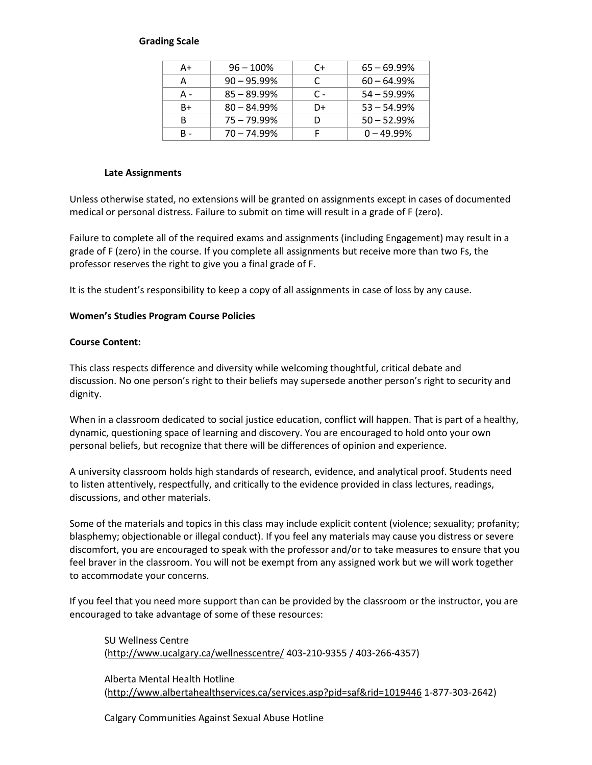### **Grading Scale**

| A+  | $96 - 100\%$   | C+  | $65 - 69.99\%$ |
|-----|----------------|-----|----------------|
| А   | $90 - 95.99\%$ | C   | $60 - 64.99\%$ |
| А - | $85 - 89.99\%$ | C - | $54 - 59.99\%$ |
| B+  | $80 - 84.99\%$ | D+  | $53 - 54.99\%$ |
| В   | $75 - 79.99\%$ |     | $50 - 52.99\%$ |
| в.  | $70 - 74.99\%$ |     | $0 - 49.99\%$  |

#### **Late Assignments**

Unless otherwise stated, no extensions will be granted on assignments except in cases of documented medical or personal distress. Failure to submit on time will result in a grade of F (zero).

Failure to complete all of the required exams and assignments (including Engagement) may result in a grade of F (zero) in the course. If you complete all assignments but receive more than two Fs, the professor reserves the right to give you a final grade of F.

It is the student's responsibility to keep a copy of all assignments in case of loss by any cause.

### **Women's Studies Program Course Policies**

### **Course Content:**

This class respects difference and diversity while welcoming thoughtful, critical debate and discussion. No one person's right to their beliefs may supersede another person's right to security and dignity.

When in a classroom dedicated to social justice education, conflict will happen. That is part of a healthy, dynamic, questioning space of learning and discovery. You are encouraged to hold onto your own personal beliefs, but recognize that there will be differences of opinion and experience.

A university classroom holds high standards of research, evidence, and analytical proof. Students need to listen attentively, respectfully, and critically to the evidence provided in class lectures, readings, discussions, and other materials.

Some of the materials and topics in this class may include explicit content (violence; sexuality; profanity; blasphemy; objectionable or illegal conduct). If you feel any materials may cause you distress or severe discomfort, you are encouraged to speak with the professor and/or to take measures to ensure that you feel braver in the classroom. You will not be exempt from any assigned work but we will work together to accommodate your concerns.

If you feel that you need more support than can be provided by the classroom or the instructor, you are encouraged to take advantage of some of these resources:

SU Wellness Centre [\(http://www.ucalgary.ca/wellnesscentre/](http://www.ucalgary.ca/wellnesscentre/) 403-210-9355 / 403-266-4357)

Alberta Mental Health Hotline [\(http://www.albertahealthservices.ca/services.asp?pid=saf&rid=1019446](http://www.albertahealthservices.ca/services.asp?pid=saf&rid=1019446) 1-877-303-2642)

Calgary Communities Against Sexual Abuse Hotline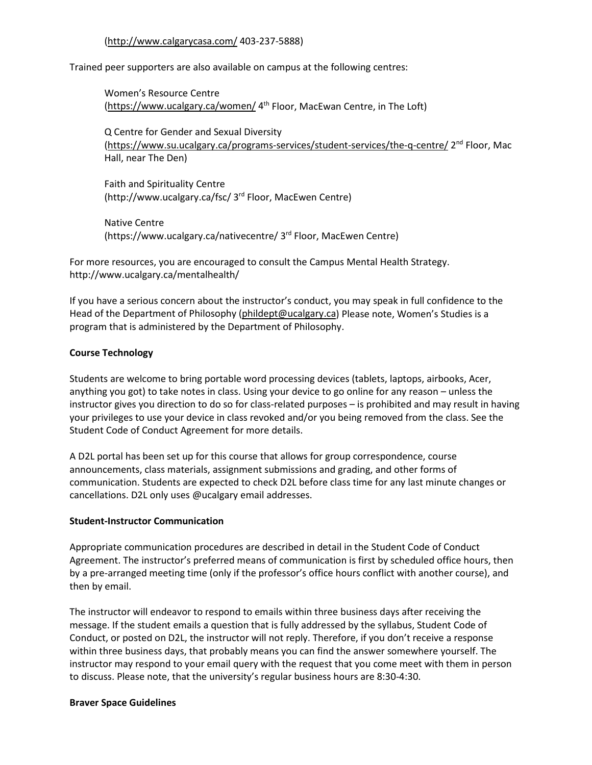### [\(http://www.calgarycasa.com/](http://www.calgarycasa.com/) 403-237-5888)

Trained peer supporters are also available on campus at the following centres:

Women's Resource Centre [\(https://www.ucalgary.ca/women/](https://www.ucalgary.ca/women/) 4<sup>th</sup> Floor, MacEwan Centre, in The Loft)

Q Centre for Gender and Sexual Diversity [\(https://www.su.ucalgary.ca/programs-services/student-services/the-q-centre/](https://www.su.ucalgary.ca/programs-services/student-services/the-q-centre/) 2nd Floor, Mac Hall, near The Den)

Faith and Spirituality Centre (http://www.ucalgary.ca/fsc/ 3rd Floor, MacEwen Centre)

Native Centre (https://www.ucalgary.ca/nativecentre/ 3rd Floor, MacEwen Centre)

For more resources, you are encouraged to consult the Campus Mental Health Strategy. http://www.ucalgary.ca/mentalhealth/

If you have a serious concern about the instructor's conduct, you may speak in full confidence to the Head of the Department of Philosophy [\(phildept@ucalgary.ca\)](mailto:phildept@ucalgary.ca) Please note, Women's Studies is a program that is administered by the Department of Philosophy.

### **Course Technology**

Students are welcome to bring portable word processing devices (tablets, laptops, airbooks, Acer, anything you got) to take notes in class. Using your device to go online for any reason – unless the instructor gives you direction to do so for class-related purposes – is prohibited and may result in having your privileges to use your device in class revoked and/or you being removed from the class. See the Student Code of Conduct Agreement for more details.

A D2L portal has been set up for this course that allows for group correspondence, course announcements, class materials, assignment submissions and grading, and other forms of communication. Students are expected to check D2L before class time for any last minute changes or cancellations. D2L only uses @ucalgary email addresses.

### **Student-Instructor Communication**

Appropriate communication procedures are described in detail in the Student Code of Conduct Agreement. The instructor's preferred means of communication is first by scheduled office hours, then by a pre-arranged meeting time (only if the professor's office hours conflict with another course), and then by email.

The instructor will endeavor to respond to emails within three business days after receiving the message. If the student emails a question that is fully addressed by the syllabus, Student Code of Conduct, or posted on D2L, the instructor will not reply. Therefore, if you don't receive a response within three business days, that probably means you can find the answer somewhere yourself. The instructor may respond to your email query with the request that you come meet with them in person to discuss. Please note, that the university's regular business hours are 8:30-4:30.

### **Braver Space Guidelines**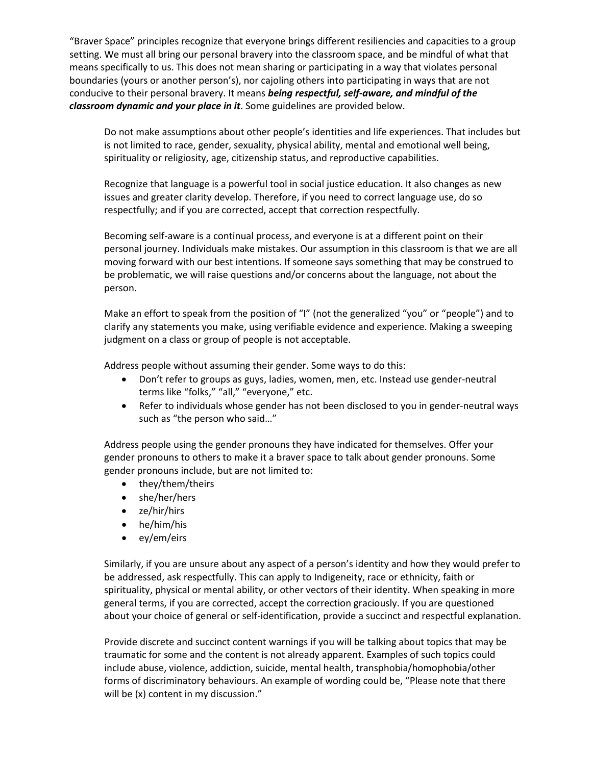"Braver Space" principles recognize that everyone brings different resiliencies and capacities to a group setting. We must all bring our personal bravery into the classroom space, and be mindful of what that means specifically to us. This does not mean sharing or participating in a way that violates personal boundaries (yours or another person's), nor cajoling others into participating in ways that are not conducive to their personal bravery. It means *being respectful, self-aware, and mindful of the classroom dynamic and your place in it*. Some guidelines are provided below.

Do not make assumptions about other people's identities and life experiences. That includes but is not limited to race, gender, sexuality, physical ability, mental and emotional well being, spirituality or religiosity, age, citizenship status, and reproductive capabilities.

Recognize that language is a powerful tool in social justice education. It also changes as new issues and greater clarity develop. Therefore, if you need to correct language use, do so respectfully; and if you are corrected, accept that correction respectfully.

Becoming self-aware is a continual process, and everyone is at a different point on their personal journey. Individuals make mistakes. Our assumption in this classroom is that we are all moving forward with our best intentions. If someone says something that may be construed to be problematic, we will raise questions and/or concerns about the language, not about the person.

Make an effort to speak from the position of "I" (not the generalized "you" or "people") and to clarify any statements you make, using verifiable evidence and experience. Making a sweeping judgment on a class or group of people is not acceptable.

Address people without assuming their gender. Some ways to do this:

- Don't refer to groups as guys, ladies, women, men, etc. Instead use gender-neutral terms like "folks," "all," "everyone," etc.
- Refer to individuals whose gender has not been disclosed to you in gender-neutral ways such as "the person who said…"

Address people using the gender pronouns they have indicated for themselves. Offer your gender pronouns to others to make it a braver space to talk about gender pronouns. Some gender pronouns include, but are not limited to:

- they/them/theirs
- she/her/hers
- ze/hir/hirs
- he/him/his
- ey/em/eirs

Similarly, if you are unsure about any aspect of a person's identity and how they would prefer to be addressed, ask respectfully. This can apply to Indigeneity, race or ethnicity, faith or spirituality, physical or mental ability, or other vectors of their identity. When speaking in more general terms, if you are corrected, accept the correction graciously. If you are questioned about your choice of general or self-identification, provide a succinct and respectful explanation.

Provide discrete and succinct content warnings if you will be talking about topics that may be traumatic for some and the content is not already apparent. Examples of such topics could include abuse, violence, addiction, suicide, mental health, transphobia/homophobia/other forms of discriminatory behaviours. An example of wording could be, "Please note that there will be (x) content in my discussion."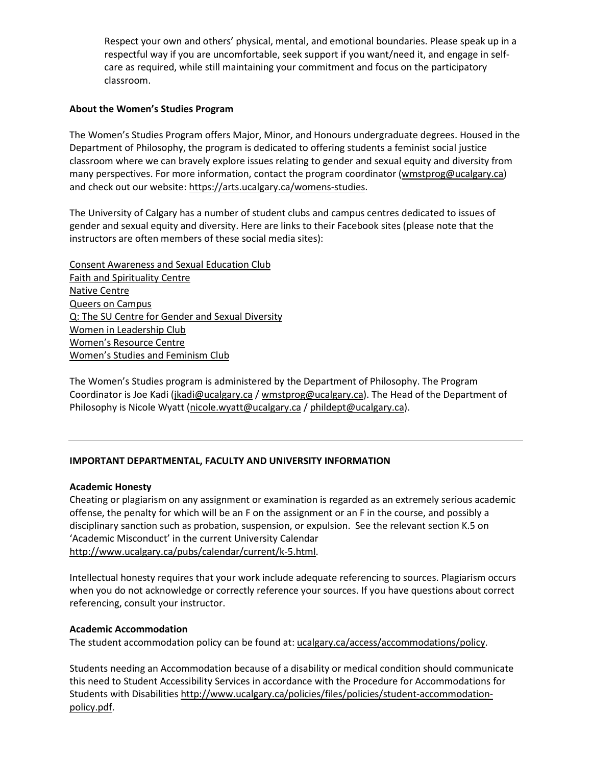Respect your own and others' physical, mental, and emotional boundaries. Please speak up in a respectful way if you are uncomfortable, seek support if you want/need it, and engage in selfcare as required, while still maintaining your commitment and focus on the participatory classroom.

### **About the Women's Studies Program**

The Women's Studies Program offers Major, Minor, and Honours undergraduate degrees. Housed in the Department of Philosophy, the program is dedicated to offering students a feminist social justice classroom where we can bravely explore issues relating to gender and sexual equity and diversity from many perspectives. For more information, contact the program coordinator [\(wmstprog@ucalgary.ca\)](mailto:wmstprog@ucalgary.ca) and check out our website[: https://arts.ucalgary.ca/womens-studies.](https://arts.ucalgary.ca/womens-studies)

The University of Calgary has a number of student clubs and campus centres dedicated to issues of gender and sexual equity and diversity. Here are links to their Facebook sites (please note that the instructors are often members of these social media sites):

[Consent Awareness and Sexual Education Club](https://www.facebook.com/UCalgaryCASE) [Faith and Spirituality Centre](http://www.ucalgary.ca/fsc/) [Native Centre](https://www.ucalgary.ca/nativecentre/) [Queers on Campus](https://www.facebook.com/groups/qcampus/) [Q: The SU Centre for Gender and Sexual Diversity](https://www.facebook.com/pages/Q-The-SU-Centre-for-Sexual-Gender-Diversity/132864866765926) [Women in Leadership Club](https://www.facebook.com/WILUCalgary) [Women's Resource Centre](https://www.facebook.com/WRCcalgary) [Women's Studies and Feminism Club](https://www.facebook.com/groups/327919917307086/)

The Women's Studies program is administered by the Department of Philosophy. The Program Coordinator is Joe Kadi [\(jkadi@ucalgary.ca](mailto:jkadi@ucalgary.ca) [/ wmstprog@ucalgary.ca\)](mailto:wmstprog@ucalgary.ca). The Head of the Department of Philosophy is Nicole Wyatt [\(nicole.wyatt@ucalgary.ca](mailto:nicole.wyatt@ucalgary.ca) / [phildept@ucalgary.ca\)](mailto:phildept@ucalgary.ca).

### **IMPORTANT DEPARTMENTAL, FACULTY AND UNIVERSITY INFORMATION**

### **Academic Honesty**

Cheating or plagiarism on any assignment or examination is regarded as an extremely serious academic offense, the penalty for which will be an F on the assignment or an F in the course, and possibly a disciplinary sanction such as probation, suspension, or expulsion. See the relevant section K.5 on 'Academic Misconduct' in the current University Calendar [http://www.ucalgary.ca/pubs/calendar/current/k-5.html.](http://www.ucalgary.ca/pubs/calendar/current/k-5.html)

Intellectual honesty requires that your work include adequate referencing to sources. Plagiarism occurs when you do not acknowledge or correctly reference your sources. If you have questions about correct referencing, consult your instructor.

### **Academic Accommodation**

The student accommodation policy can be found at: [ucalgary.ca/access/accommodations/policy.](http://www.ucalgary.ca/access/accommodations/policy)

Students needing an Accommodation because of a disability or medical condition should communicate this need to Student Accessibility Services in accordance with the Procedure for Accommodations for Students with Disabilities [http://www.ucalgary.ca/policies/files/policies/student-accommodation](http://www.ucalgary.ca/policies/files/policies/student-accommodation-policy.pdf)[policy.pdf.](http://www.ucalgary.ca/policies/files/policies/student-accommodation-policy.pdf)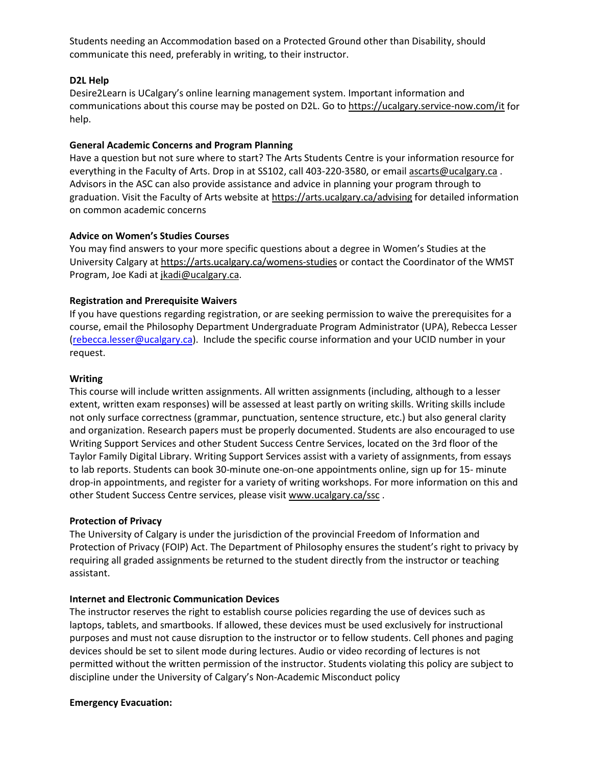Students needing an Accommodation based on a Protected Ground other than Disability, should communicate this need, preferably in writing, to their instructor.

### **D2L Help**

Desire2Learn is UCalgary's online learning management system. Important information and communications about this course may be posted on D2L. Go t[o https://ucalgary.service-now.com/it](https://ucalgary.service-now.com/it) for help.

#### **General Academic Concerns and Program Planning**

Have a question but not sure where to start? The Arts Students Centre is your information resource for everything in the Faculty of Arts. Drop in at SS102, call 403-220-3580, or email [ascarts@ucalgary.ca](mailto:ascarts@ucalgary.ca). Advisors in the ASC can also provide assistance and advice in planning your program through to graduation. Visit the Faculty of Arts website at<https://arts.ucalgary.ca/advising> for detailed information on common academic concerns

### **Advice on Women's Studies Courses**

You may find answers to your more specific questions about a degree in Women's Studies at the University Calgary a[t https://arts.ucalgary.ca/womens-studies](https://arts.ucalgary.ca/womens-studies) or contact the Coordinator of the WMST Program, Joe Kadi at [jkadi@ucalgary.ca.](mailto:jkadi@ucalgary.ca)

### **Registration and Prerequisite Waivers**

If you have questions regarding registration, or are seeking permission to waive the prerequisites for a course, email the Philosophy Department Undergraduate Program Administrator (UPA), Rebecca Lesser [\(rebecca.lesser@ucalgary.ca\)](mailto:rebecca.lesser@ucalgary.ca). Include the specific course information and your UCID number in your request.

#### **Writing**

This course will include written assignments. All written assignments (including, although to a lesser extent, written exam responses) will be assessed at least partly on writing skills. Writing skills include not only surface correctness (grammar, punctuation, sentence structure, etc.) but also general clarity and organization. Research papers must be properly documented. Students are also encouraged to use Writing Support Services and other Student Success Centre Services, located on the 3rd floor of the Taylor Family Digital Library. Writing Support Services assist with a variety of assignments, from essays to lab reports. Students can book 30-minute one-on-one appointments online, sign up for 15- minute drop-in appointments, and register for a variety of writing workshops. For more information on this and other Student Success Centre services, please visi[t www.ucalgary.ca/ssc](http://www.ucalgary.ca/ssc).

#### **Protection of Privacy**

The University of Calgary is under the jurisdiction of the provincial Freedom of Information and Protection of Privacy (FOIP) Act. The Department of Philosophy ensures the student's right to privacy by requiring all graded assignments be returned to the student directly from the instructor or teaching assistant.

#### **Internet and Electronic Communication Devices**

The instructor reserves the right to establish course policies regarding the use of devices such as laptops, tablets, and smartbooks. If allowed, these devices must be used exclusively for instructional purposes and must not cause disruption to the instructor or to fellow students. Cell phones and paging devices should be set to silent mode during lectures. Audio or video recording of lectures is not permitted without the written permission of the instructor. Students violating this policy are subject to discipline under the University of Calgary's Non-Academic Misconduct policy

#### **Emergency Evacuation:**